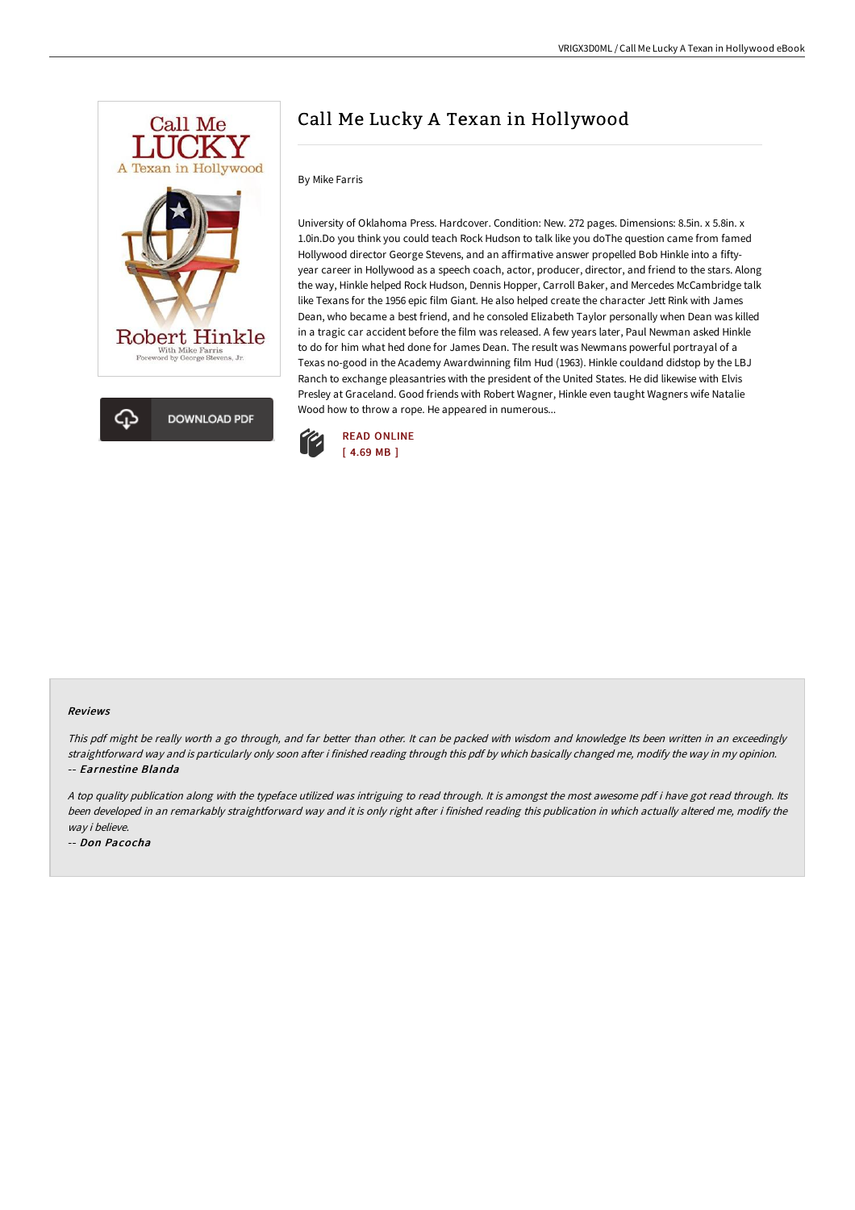



# Call Me Lucky A Texan in Hollywood

#### By Mike Farris

University of Oklahoma Press. Hardcover. Condition: New. 272 pages. Dimensions: 8.5in. x 5.8in. x 1.0in.Do you think you could teach Rock Hudson to talk like you doThe question came from famed Hollywood director George Stevens, and an affirmative answer propelled Bob Hinkle into a fiftyyear career in Hollywood as a speech coach, actor, producer, director, and friend to the stars. Along the way, Hinkle helped Rock Hudson, Dennis Hopper, Carroll Baker, and Mercedes McCambridge talk like Texans for the 1956 epic film Giant. He also helped create the character Jett Rink with James Dean, who became a best friend, and he consoled Elizabeth Taylor personally when Dean was killed in a tragic car accident before the film was released. A few years later, Paul Newman asked Hinkle to do for him what hed done for James Dean. The result was Newmans powerful portrayal of a Texas no-good in the Academy Awardwinning film Hud (1963). Hinkle couldand didstop by the LBJ Ranch to exchange pleasantries with the president of the United States. He did likewise with Elvis Presley at Graceland. Good friends with Robert Wagner, Hinkle even taught Wagners wife Natalie Wood how to throw a rope. He appeared in numerous...



#### Reviews

This pdf might be really worth <sup>a</sup> go through, and far better than other. It can be packed with wisdom and knowledge Its been written in an exceedingly straightforward way and is particularly only soon after i finished reading through this pdf by which basically changed me, modify the way in my opinion. -- Earnestine Blanda

<sup>A</sup> top quality publication along with the typeface utilized was intriguing to read through. It is amongst the most awesome pdf i have got read through. Its been developed in an remarkably straightforward way and it is only right after i finished reading this publication in which actually altered me, modify the way i believe.

-- Don Pacocha